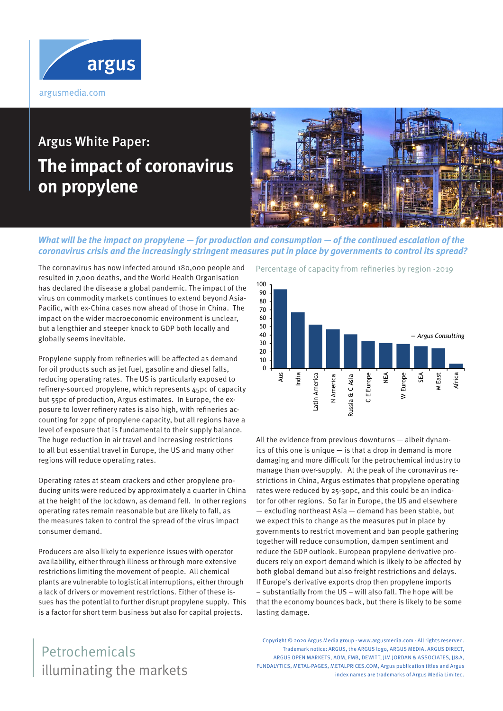

# Argus White Paper: **The impact of coronavirus on propylene**



### **What will be the impact on propylene — for production and consumption — of the continued escalation of the coronavirus crisis and the increasingly stringent measures put in place by governments to control its spread?**

The coronavirus has now infected around 180,000 people and resulted in 7,000 deaths, and the World Health Organisation has declared the disease a global pandemic. The impact of the virus on commodity markets continues to extend beyond Asia-Pacific, with ex-China cases now ahead of those in China. The impact on the wider macroeconomic environment is unclear, but a lengthier and steeper knock to GDP both locally and globally seems inevitable.

Propylene supply from refineries will be affected as demand for oil products such as jet fuel, gasoline and diesel falls, reducing operating rates. The US is particularly exposed to refinery-sourced propylene, which represents 45pc of capacity but 55pc of production, Argus estimates. In Europe, the exposure to lower refinery rates is also high, with refineries accounting for 29pc of propylene capacity, but all regions have a level of exposure that is fundamental to their supply balance. The huge reduction in air travel and increasing restrictions to all but essential travel in Europe, the US and many other regions will reduce operating rates.

Operating rates at steam crackers and other propylene producing units were reduced by approximately a quarter in China at the height of the lockdown, as demand fell. In other regions operating rates remain reasonable but are likely to fall, as the measures taken to control the spread of the virus impact consumer demand.

Producers are also likely to experience issues with operator availability, either through illness or through more extensive restrictions limiting the movement of people. All chemical plants are vulnerable to logistical interruptions, either through a lack of drivers or movement restrictions. Either of these issues has the potential to further disrupt propylene supply. This is a factor for short term business but also for capital projects.

#### Percentage of capacity from refineries by region -2019



All the evidence from previous downturns — albeit dynamics of this one is unique — is that a drop in demand is more damaging and more difficult for the petrochemical industry to manage than over-supply. At the peak of the coronavirus restrictions in China, Argus estimates that propylene operating rates were reduced by 25-30pc, and this could be an indicator for other regions. So far in Europe, the US and elsewhere — excluding northeast Asia — demand has been stable, but we expect this to change as the measures put in place by governments to restrict movement and ban people gathering together will reduce consumption, dampen sentiment and reduce the GDP outlook. European propylene derivative producers rely on export demand which is likely to be affected by both global demand but also freight restrictions and delays. If Europe's derivative exports drop then propylene imports – substantially from the US – will also fall. The hope will be that the economy bounces back, but there is likely to be some lasting damage.

Copyright © 2020 Argus Media group - www.argusmedia.com - All rights reserved. Trademark notice: ARGUS, the ARGUS logo, ARGUS MEDIA, ARGUS DIRECT, ARGUS OPEN MARKETS, AOM, FMB, DEWITT, IIM JORDAN & ASSOCIATES, II&A, FUNDALYTICS, METAL-PAGES, METALPRICES.COM, Argus publication titles and Argus index names are trademarks of Argus Media Limited.

# illuminating the markets Petrochemicals